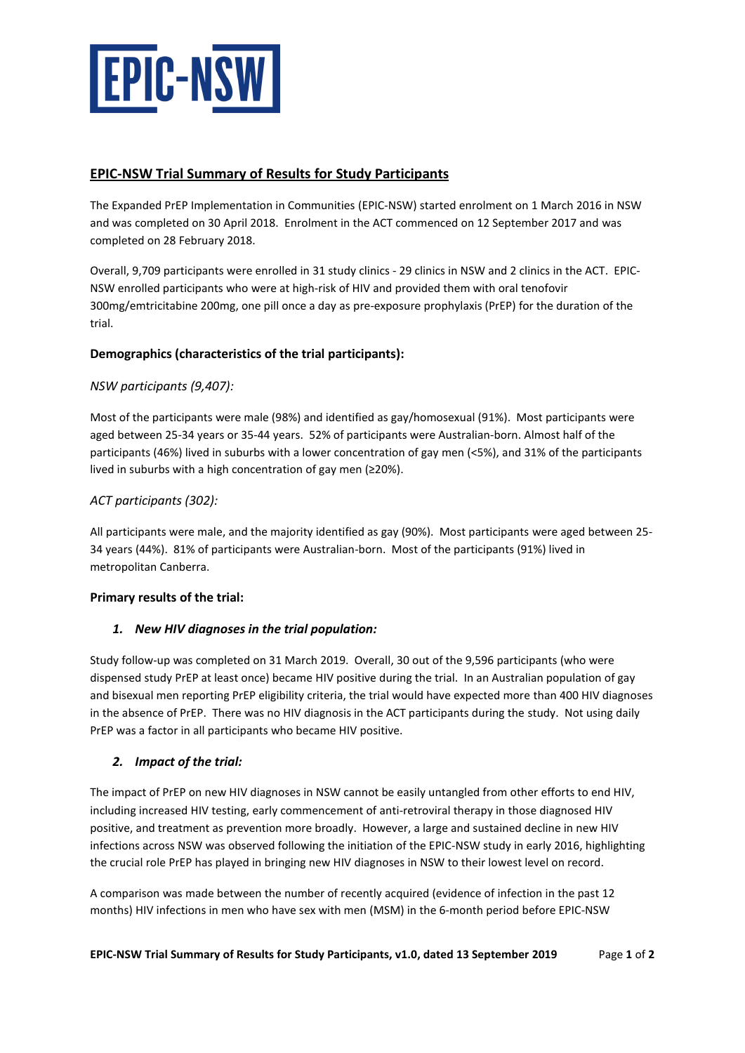

# **EPIC-NSW Trial Summary of Results for Study Participants**

The Expanded PrEP Implementation in Communities (EPIC-NSW) started enrolment on 1 March 2016 in NSW and was completed on 30 April 2018. Enrolment in the ACT commenced on 12 September 2017 and was completed on 28 February 2018.

Overall, 9,709 participants were enrolled in 31 study clinics - 29 clinics in NSW and 2 clinics in the ACT. EPIC-NSW enrolled participants who were at high-risk of HIV and provided them with oral tenofovir 300mg/emtricitabine 200mg, one pill once a day as pre-exposure prophylaxis (PrEP) for the duration of the trial.

## **Demographics (characteristics of the trial participants):**

# *NSW participants (9,407):*

Most of the participants were male (98%) and identified as gay/homosexual (91%). Most participants were aged between 25-34 years or 35-44 years. 52% of participants were Australian-born. Almost half of the participants (46%) lived in suburbs with a lower concentration of gay men (<5%), and 31% of the participants lived in suburbs with a high concentration of gay men (≥20%).

## *ACT participants (302):*

All participants were male, and the majority identified as gay (90%). Most participants were aged between 25- 34 years (44%). 81% of participants were Australian-born. Most of the participants (91%) lived in metropolitan Canberra.

## **Primary results of the trial:**

## *1. New HIV diagnoses in the trial population:*

Study follow-up was completed on 31 March 2019. Overall, 30 out of the 9,596 participants (who were dispensed study PrEP at least once) became HIV positive during the trial. In an Australian population of gay and bisexual men reporting PrEP eligibility criteria, the trial would have expected more than 400 HIV diagnoses in the absence of PrEP. There was no HIV diagnosis in the ACT participants during the study. Not using daily PrEP was a factor in all participants who became HIV positive.

## *2. Impact of the trial:*

The impact of PrEP on new HIV diagnoses in NSW cannot be easily untangled from other efforts to end HIV, including increased HIV testing, early commencement of anti-retroviral therapy in those diagnosed HIV positive, and treatment as prevention more broadly. However, a large and sustained decline in new HIV infections across NSW was observed following the initiation of the EPIC-NSW study in early 2016, highlighting the crucial role PrEP has played in bringing new HIV diagnoses in NSW to their lowest level on record.

A comparison was made between the number of recently acquired (evidence of infection in the past 12 months) HIV infections in men who have sex with men (MSM) in the 6-month period before EPIC-NSW